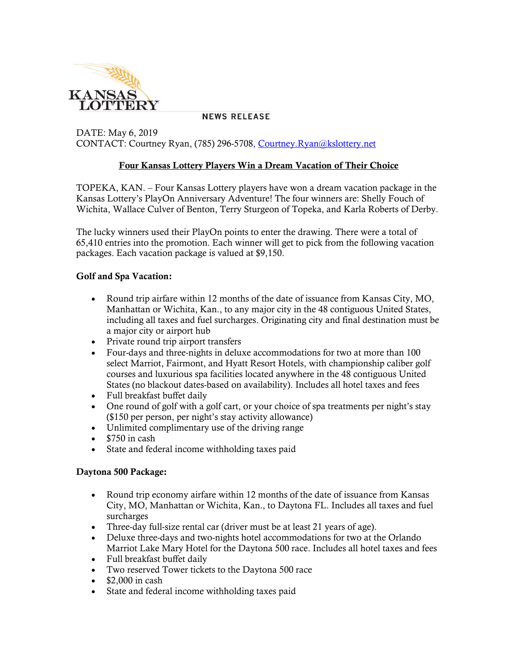

**NEWS RELEASE** 

DATE: May 6, 2019 CONTACT: Courtney Ryan, (785) 296-5708, [Courtney.Ryan@kslottery.net](mailto:Courtney.Ryan@kslottery.net)

### **Four Kansas Lottery Players Win a Dream Vacation of Their Choice**

TOPEKA, KAN. – Four Kansas Lottery players have won a dream vacation package in the Kansas Lottery's PlayOn Anniversary Adventure! The four winners are: Shelly Fouch of Wichita, Wallace Culver of Benton, Terry Sturgeon of Topeka, and Karla Roberts of Derby.

The lucky winners used their PlayOn points to enter the drawing. There were a total of 65,410 entries into the promotion. Each winner will get to pick from the following vacation packages. Each vacation package is valued at \$9,150.

#### **Golf and Spa Vacation:**

- Round trip airfare within 12 months of the date of issuance from Kansas City, MO, Manhattan or Wichita, Kan., to any major city in the 48 contiguous United States, including all taxes and fuel surcharges. Originating city and final destination must be a major city or airport hub
- Private round trip airport transfers
- Four-days and three-nights in deluxe accommodations for two at more than 100 select Marriot, Fairmont, and Hyatt Resort Hotels, with championship caliber golf courses and luxurious spa facilities located anywhere in the 48 contiguous United States (no blackout dates-based on availability). Includes all hotel taxes and fees
- Full breakfast buffet daily
- One round of golf with a golf cart, or your choice of spa treatments per night's stay (\$150 per person, per night's stay activity allowance)
- Unlimited complimentary use of the driving range
- $\cdot$  \$750 in cash
- State and federal income withholding taxes paid

#### **Daytona 500 Package:**

- Round trip economy airfare within 12 months of the date of issuance from Kansas City, MO, Manhattan or Wichita, Kan., to Daytona FL. Includes all taxes and fuel surcharges
- Three-day full-size rental car (driver must be at least 21 years of age).
- Deluxe three-days and two-nights hotel accommodations for two at the Orlando Marriot Lake Mary Hotel for the Daytona 500 race. Includes all hotel taxes and fees
- Full breakfast buffet daily
- Two reserved Tower tickets to the Daytona 500 race
- $\bullet$  \$2,000 in cash
- State and federal income withholding taxes paid